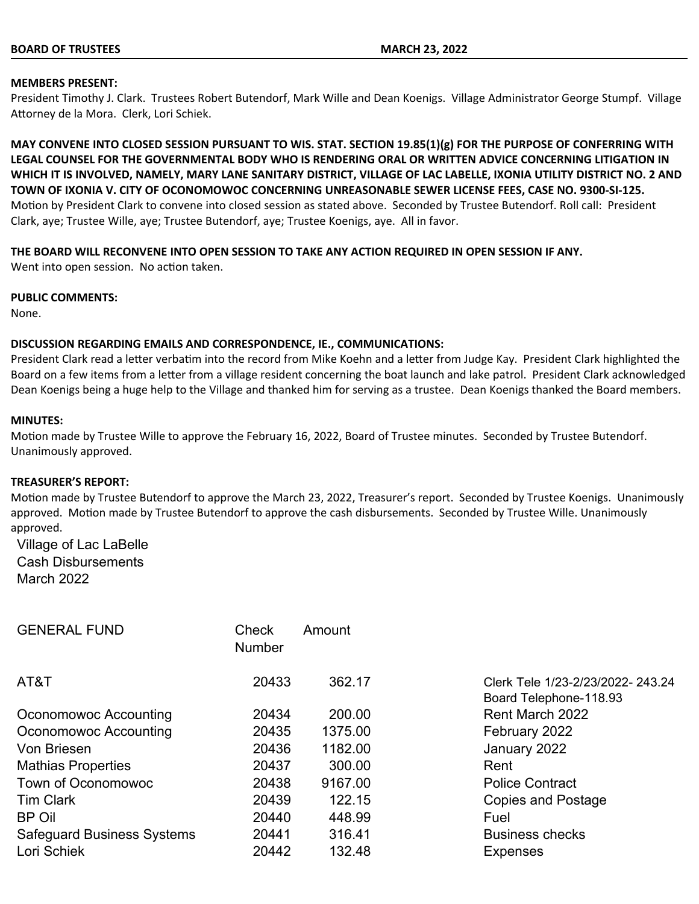#### **MEMBERS PRESENT:**

President Timothy J. Clark. Trustees Robert Butendorf, Mark Wille and Dean Koenigs. Village Administrator George Stumpf. Village Attorney de la Mora. Clerk, Lori Schiek.

**MAY CONVENE INTO CLOSED SESSION PURSUANT TO WIS. STAT. SECTION 19.85(1)(g) FOR THE PURPOSE OF CONFERRING WITH LEGAL COUNSEL FOR THE GOVERNMENTAL BODY WHO IS RENDERING ORAL OR WRITTEN ADVICE CONCERNING LITIGATION IN WHICH IT IS INVOLVED, NAMELY, MARY LANE SANITARY DISTRICT, VILLAGE OF LAC LABELLE, IXONIA UTILITY DISTRICT NO. 2 AND TOWN OF IXONIA V. CITY OF OCONOMOWOC CONCERNING UNREASONABLE SEWER LICENSE FEES, CASE NO. 9300-SI-125.** Motion by President Clark to convene into closed session as stated above. Seconded by Trustee Butendorf. Roll call: President Clark, aye; Trustee Wille, aye; Trustee Butendorf, aye; Trustee Koenigs, aye. All in favor.

# **THE BOARD WILL RECONVENE INTO OPEN SESSION TO TAKE ANY ACTION REQUIRED IN OPEN SESSION IF ANY.**

Went into open session. No action taken.

#### **PUBLIC COMMENTS:**

None.

# **DISCUSSION REGARDING EMAILS AND CORRESPONDENCE, IE., COMMUNICATIONS:**

President Clark read a letter verbatim into the record from Mike Koehn and a letter from Judge Kay. President Clark highlighted the Board on a few items from a letter from a village resident concerning the boat launch and lake patrol. President Clark acknowledged Dean Koenigs being a huge help to the Village and thanked him for serving as a trustee. Dean Koenigs thanked the Board members.

# **MINUTES:**

Motion made by Trustee Wille to approve the February 16, 2022, Board of Trustee minutes. Seconded by Trustee Butendorf. Unanimously approved.

#### **TREASURER'S REPORT:**

Motion made by Trustee Butendorf to approve the March 23, 2022, Treasurer's report. Seconded by Trustee Koenigs. Unanimously approved. Motion made by Trustee Butendorf to approve the cash disbursements. Seconded by Trustee Wille. Unanimously approved.

Village of Lac LaBelle Cash Disbursements March 2022

| <b>GENERAL FUND</b>               | Check<br><b>Number</b> | Amount  |                                                            |
|-----------------------------------|------------------------|---------|------------------------------------------------------------|
| AT&T                              | 20433                  | 362.17  | Clerk Tele 1/23-2/23/2022-243.24<br>Board Telephone-118.93 |
| Oconomowoc Accounting             | 20434                  | 200.00  | <b>Rent March 2022</b>                                     |
| Oconomowoc Accounting             | 20435                  | 1375.00 | February 2022                                              |
| Von Briesen                       | 20436                  | 1182.00 | January 2022                                               |
| <b>Mathias Properties</b>         | 20437                  | 300.00  | Rent                                                       |
| <b>Town of Oconomowoc</b>         | 20438                  | 9167.00 | <b>Police Contract</b>                                     |
| <b>Tim Clark</b>                  | 20439                  | 122.15  | <b>Copies and Postage</b>                                  |
| <b>BP Oil</b>                     | 20440                  | 448.99  | Fuel                                                       |
| <b>Safeguard Business Systems</b> | 20441                  | 316.41  | <b>Business checks</b>                                     |
| Lori Schiek                       | 20442                  | 132.48  | <b>Expenses</b>                                            |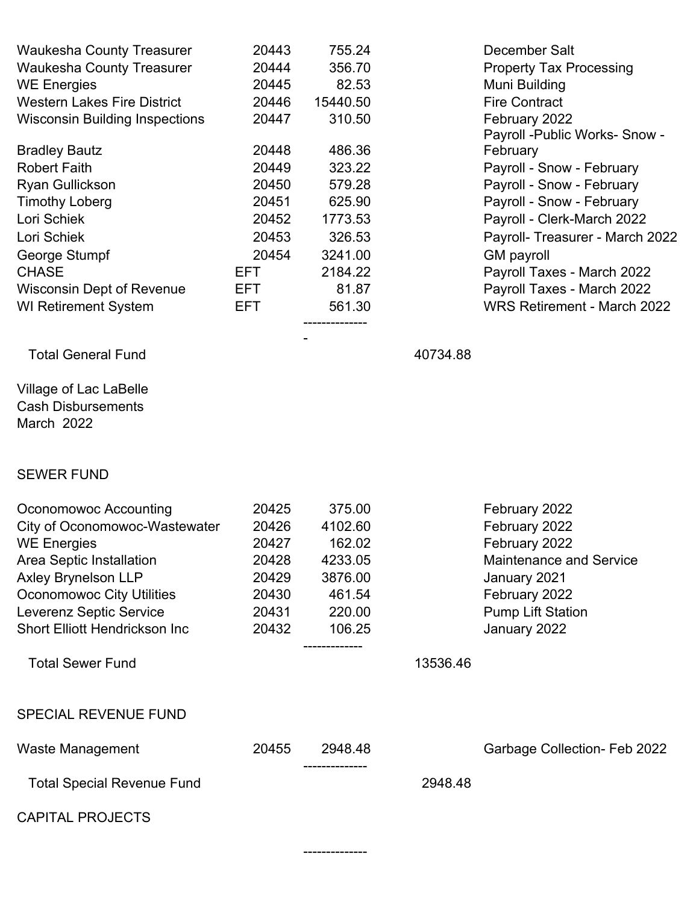| <b>Waukesha County Treasurer</b>      | 20443 | 755.24   |          | December Salt                   |
|---------------------------------------|-------|----------|----------|---------------------------------|
| <b>Waukesha County Treasurer</b>      | 20444 | 356.70   |          | <b>Property Tax Processing</b>  |
| <b>WE Energies</b>                    | 20445 | 82.53    |          | Muni Building                   |
| <b>Western Lakes Fire District</b>    | 20446 | 15440.50 |          | <b>Fire Contract</b>            |
| <b>Wisconsin Building Inspections</b> | 20447 | 310.50   |          | February 2022                   |
|                                       |       |          |          | Payroll -Public Works- Snow -   |
| <b>Bradley Bautz</b>                  | 20448 | 486.36   |          | February                        |
| <b>Robert Faith</b>                   | 20449 | 323.22   |          | Payroll - Snow - February       |
| <b>Ryan Gullickson</b>                | 20450 | 579.28   |          | Payroll - Snow - February       |
| <b>Timothy Loberg</b>                 | 20451 | 625.90   |          | Payroll - Snow - February       |
| Lori Schiek                           | 20452 | 1773.53  |          | Payroll - Clerk-March 2022      |
| Lori Schiek                           | 20453 | 326.53   |          | Payroll- Treasurer - March 2022 |
| George Stumpf                         | 20454 | 3241.00  |          | <b>GM</b> payroll               |
| <b>CHASE</b>                          | EFT.  | 2184.22  |          | Payroll Taxes - March 2022      |
| <b>Wisconsin Dept of Revenue</b>      | EFT.  | 81.87    |          | Payroll Taxes - March 2022      |
| <b>WI Retirement System</b>           | EFT.  | 561.30   |          | WRS Retirement - March 2022     |
|                                       |       |          |          |                                 |
| <b>Total General Fund</b>             |       |          | 40734.88 |                                 |
|                                       |       |          |          |                                 |

Village of Lac LaBelle Cash Disbursements March 2022

# SEWER FUND

| Oconomowoc Accounting                | 20425 | 375.00        |          | February 2022                  |
|--------------------------------------|-------|---------------|----------|--------------------------------|
| City of Oconomowoc-Wastewater        | 20426 | 4102.60       |          | February 2022                  |
| <b>WE Energies</b>                   | 20427 | 162.02        |          | February 2022                  |
| Area Septic Installation             | 20428 | 4233.05       |          | <b>Maintenance and Service</b> |
| <b>Axley Brynelson LLP</b>           | 20429 | 3876.00       |          | January 2021                   |
| <b>Oconomowoc City Utilities</b>     | 20430 | 461.54        |          | February 2022                  |
| Leverenz Septic Service              | 20431 | 220.00        |          | <b>Pump Lift Station</b>       |
| <b>Short Elliott Hendrickson Inc</b> | 20432 | 106.25        |          | January 2022                   |
|                                      |       | ------------- |          |                                |
| <b>Total Sewer Fund</b>              |       |               | 13536.46 |                                |
|                                      |       |               |          |                                |
| <b>SPECIAL REVENUE FUND</b>          |       |               |          |                                |
|                                      |       |               |          |                                |
| Waste Management                     | 20455 | 2948.48       |          | Garbage Collection- Feb 2022   |
| <b>Total Special Revenue Fund</b>    |       |               | 2948.48  |                                |
|                                      |       |               |          |                                |
| <b>CAPITAL PROJECTS</b>              |       |               |          |                                |
|                                      |       |               |          |                                |
|                                      |       |               |          |                                |

--------------